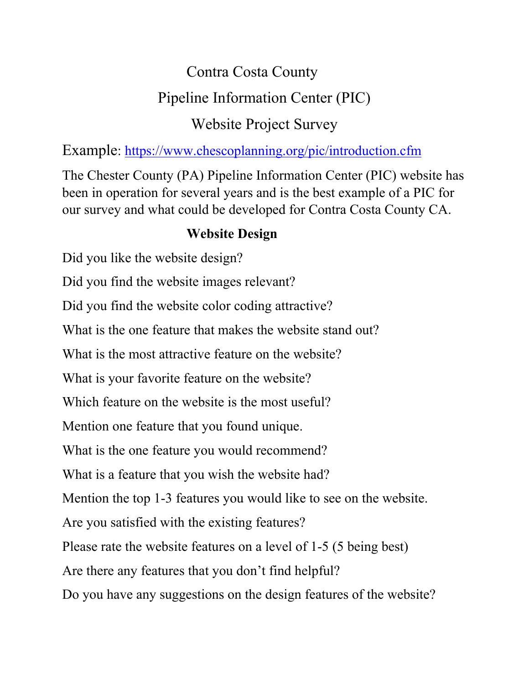# Contra Costa County Pipeline Information Center (PIC) Website Project Survey

Example:<https://www.chescoplanning.org/pic/introduction.cfm>

The Chester County (PA) Pipeline Information Center (PIC) website has been in operation for several years and is the best example of a PIC for our survey and what could be developed for Contra Costa County CA.

## **Website Design**

Did you like the website design? Did you find the website images relevant? Did you find the website color coding attractive? What is the one feature that makes the website stand out? What is the most attractive feature on the website? What is your favorite feature on the website? Which feature on the website is the most useful? Mention one feature that you found unique. What is the one feature you would recommend? What is a feature that you wish the website had? Mention the top 1-3 features you would like to see on the website. Are you satisfied with the existing features? Please rate the website features on a level of 1-5 (5 being best) Are there any features that you don't find helpful? Do you have any suggestions on the design features of the website?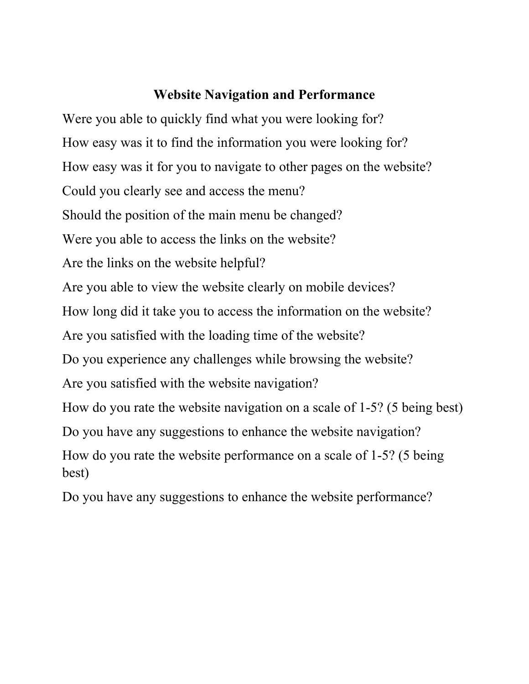#### **Website Navigation and Performance**

Were you able to quickly find what you were looking for? How easy was it to find the information you were looking for? How easy was it for you to navigate to other pages on the website? Could you clearly see and access the menu? Should the position of the main menu be changed? Were you able to access the links on the website? Are the links on the website helpful? Are you able to view the website clearly on mobile devices? How long did it take you to access the information on the website? Are you satisfied with the loading time of the website? Do you experience any challenges while browsing the website? Are you satisfied with the website navigation? How do you rate the website navigation on a scale of 1-5? (5 being best) Do you have any suggestions to enhance the website navigation? How do you rate the website performance on a scale of 1-5? (5 being best)

Do you have any suggestions to enhance the website performance?